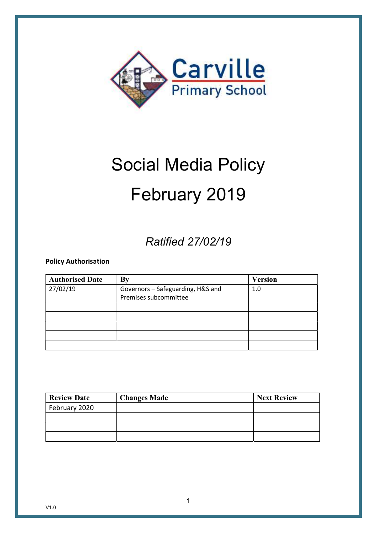

# Social Media Policy February 2019

# Ratified 27/02/19

Policy Authorisation

| <b>Authorised Date</b> | By                                | <b>Version</b> |
|------------------------|-----------------------------------|----------------|
| 27/02/19               | Governors - Safeguarding, H&S and | 1.0            |
|                        | Premises subcommittee             |                |
|                        |                                   |                |
|                        |                                   |                |
|                        |                                   |                |
|                        |                                   |                |
|                        |                                   |                |

| <b>Review Date</b> | <b>Changes Made</b> | <b>Next Review</b> |
|--------------------|---------------------|--------------------|
| February 2020      |                     |                    |
|                    |                     |                    |
|                    |                     |                    |
|                    |                     |                    |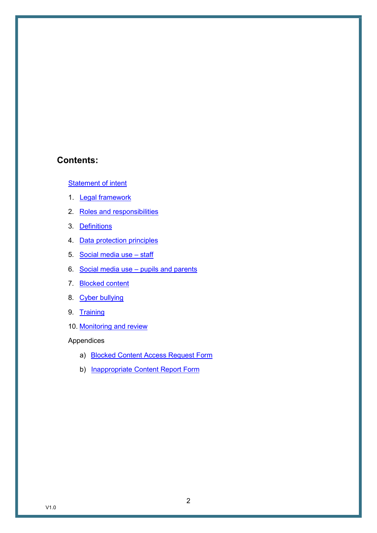#### Contents:

Statement of intent

- 1. Legal framework
- 2. Roles and responsibilities
- 3. Definitions
- 4. Data protection principles
- 5. Social media use staff
- 6. Social media use pupils and parents
- 7. Blocked content
- 8. Cyber bullying
- 9. Training
- 10. Monitoring and review

Appendices

- a) Blocked Content Access Request Form
- b) Inappropriate Content Report Form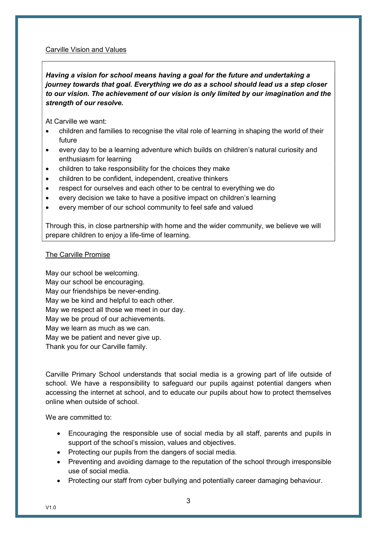#### Carville Vision and Values

#### Having a vision for school means having a goal for the future and undertaking a journey towards that goal. Everything we do as a school should lead us a step closer to our vision. The achievement of our vision is only limited by our imagination and the strength of our resolve.

At Carville we want:

- children and families to recognise the vital role of learning in shaping the world of their future
- every day to be a learning adventure which builds on children's natural curiosity and enthusiasm for learning
- children to take responsibility for the choices they make
- children to be confident, independent, creative thinkers
- respect for ourselves and each other to be central to everything we do
- every decision we take to have a positive impact on children's learning
- every member of our school community to feel safe and valued

Through this, in close partnership with home and the wider community, we believe we will prepare children to enjoy a life-time of learning.

#### The Carville Promise

May our school be welcoming. May our school be encouraging. May our friendships be never-ending. May we be kind and helpful to each other. May we respect all those we meet in our day. May we be proud of our achievements. May we learn as much as we can. May we be patient and never give up. Thank you for our Carville family.

Carville Primary School understands that social media is a growing part of life outside of school. We have a responsibility to safeguard our pupils against potential dangers when accessing the internet at school, and to educate our pupils about how to protect themselves online when outside of school.

We are committed to:

- Encouraging the responsible use of social media by all staff, parents and pupils in support of the school's mission, values and objectives.
- Protecting our pupils from the dangers of social media.
- Preventing and avoiding damage to the reputation of the school through irresponsible use of social media.
- Protecting our staff from cyber bullying and potentially career damaging behaviour.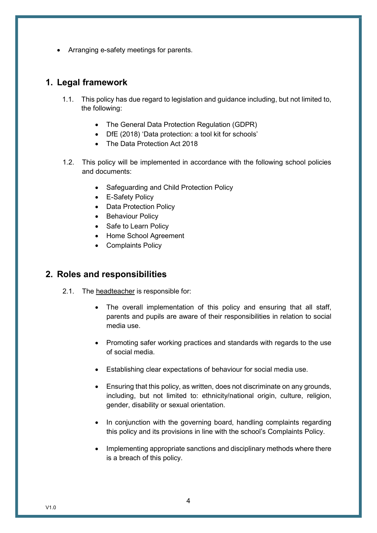Arranging e-safety meetings for parents.

#### 1. Legal framework

- 1.1. This policy has due regard to legislation and guidance including, but not limited to, the following:
	- The General Data Protection Regulation (GDPR)
	- DfE (2018) 'Data protection: a tool kit for schools'
	- The Data Protection Act 2018
- 1.2. This policy will be implemented in accordance with the following school policies and documents:
	- Safeguarding and Child Protection Policy
	- E-Safety Policy
	- Data Protection Policy
	- Behaviour Policy
	- Safe to Learn Policy
	- Home School Agreement
	- Complaints Policy

#### 2. Roles and responsibilities

- 2.1. The headteacher is responsible for:
	- The overall implementation of this policy and ensuring that all staff, parents and pupils are aware of their responsibilities in relation to social media use.
	- Promoting safer working practices and standards with regards to the use of social media.
	- Establishing clear expectations of behaviour for social media use.
	- Ensuring that this policy, as written, does not discriminate on any grounds, including, but not limited to: ethnicity/national origin, culture, religion, gender, disability or sexual orientation.
	- In conjunction with the governing board, handling complaints regarding this policy and its provisions in line with the school's Complaints Policy.
	- Implementing appropriate sanctions and disciplinary methods where there is a breach of this policy.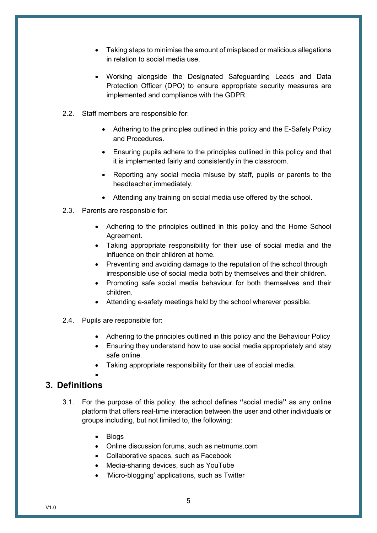- Taking steps to minimise the amount of misplaced or malicious allegations in relation to social media use.
- Working alongside the Designated Safeguarding Leads and Data Protection Officer (DPO) to ensure appropriate security measures are implemented and compliance with the GDPR.
- 2.2. Staff members are responsible for:
	- Adhering to the principles outlined in this policy and the E-Safety Policy and Procedures.
	- Ensuring pupils adhere to the principles outlined in this policy and that it is implemented fairly and consistently in the classroom.
	- Reporting any social media misuse by staff, pupils or parents to the headteacher immediately.
	- Attending any training on social media use offered by the school.
- 2.3. Parents are responsible for:
	- Adhering to the principles outlined in this policy and the Home School Agreement.
	- Taking appropriate responsibility for their use of social media and the influence on their children at home.
	- Preventing and avoiding damage to the reputation of the school through irresponsible use of social media both by themselves and their children.
	- Promoting safe social media behaviour for both themselves and their children.
	- Attending e-safety meetings held by the school wherever possible.
- 2.4. Pupils are responsible for:
	- Adhering to the principles outlined in this policy and the Behaviour Policy
	- Ensuring they understand how to use social media appropriately and stay safe online.
	- Taking appropriate responsibility for their use of social media.

#### $\bullet$ 3. Definitions

- 3.1. For the purpose of this policy, the school defines "social media" as any online platform that offers real-time interaction between the user and other individuals or groups including, but not limited to, the following:
	- Blogs
	- Online discussion forums, such as netmums.com
	- Collaborative spaces, such as Facebook
	- Media-sharing devices, such as YouTube
	- 'Micro-blogging' applications, such as Twitter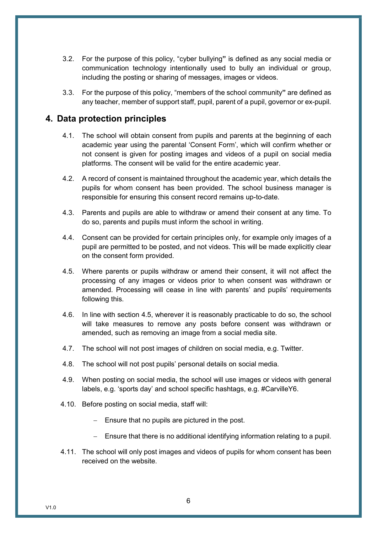- 3.2. For the purpose of this policy, "cyber bullying" is defined as any social media or communication technology intentionally used to bully an individual or group, including the posting or sharing of messages, images or videos.
- 3.3. For the purpose of this policy, "members of the school community" are defined as any teacher, member of support staff, pupil, parent of a pupil, governor or ex-pupil.

#### 4. Data protection principles

- 4.1. The school will obtain consent from pupils and parents at the beginning of each academic year using the parental 'Consent Form', which will confirm whether or not consent is given for posting images and videos of a pupil on social media platforms. The consent will be valid for the entire academic year.
- 4.2. A record of consent is maintained throughout the academic year, which details the pupils for whom consent has been provided. The school business manager is responsible for ensuring this consent record remains up-to-date.
- 4.3. Parents and pupils are able to withdraw or amend their consent at any time. To do so, parents and pupils must inform the school in writing.
- 4.4. Consent can be provided for certain principles only, for example only images of a pupil are permitted to be posted, and not videos. This will be made explicitly clear on the consent form provided.
- 4.5. Where parents or pupils withdraw or amend their consent, it will not affect the processing of any images or videos prior to when consent was withdrawn or amended. Processing will cease in line with parents' and pupils' requirements following this.
- 4.6. In line with section 4.5, wherever it is reasonably practicable to do so, the school will take measures to remove any posts before consent was withdrawn or amended, such as removing an image from a social media site.
- 4.7. The school will not post images of children on social media, e.g. Twitter.
- 4.8. The school will not post pupils' personal details on social media.
- 4.9. When posting on social media, the school will use images or videos with general labels, e.g. 'sports day' and school specific hashtags, e.g. #CarvilleY6.
- 4.10. Before posting on social media, staff will:
	- $-$  Ensure that no pupils are pictured in the post.
	- Ensure that there is no additional identifying information relating to a pupil.
- 4.11. The school will only post images and videos of pupils for whom consent has been received on the website.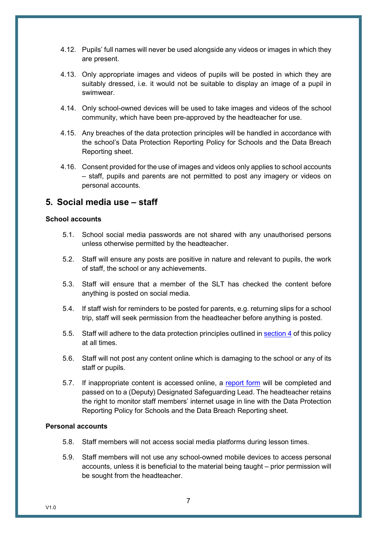- 4.12. Pupils' full names will never be used alongside any videos or images in which they are present.
- 4.13. Only appropriate images and videos of pupils will be posted in which they are suitably dressed, i.e. it would not be suitable to display an image of a pupil in swimwear.
- 4.14. Only school-owned devices will be used to take images and videos of the school community, which have been pre-approved by the headteacher for use.
- 4.15. Any breaches of the data protection principles will be handled in accordance with the school's Data Protection Reporting Policy for Schools and the Data Breach Reporting sheet.
- 4.16. Consent provided for the use of images and videos only applies to school accounts – staff, pupils and parents are not permitted to post any imagery or videos on personal accounts.

#### 5. Social media use – staff

#### School accounts

- 5.1. School social media passwords are not shared with any unauthorised persons unless otherwise permitted by the headteacher.
- 5.2. Staff will ensure any posts are positive in nature and relevant to pupils, the work of staff, the school or any achievements.
- 5.3. Staff will ensure that a member of the SLT has checked the content before anything is posted on social media.
- 5.4. If staff wish for reminders to be posted for parents, e.g. returning slips for a school trip, staff will seek permission from the headteacher before anything is posted.
- 5.5. Staff will adhere to the data protection principles outlined in section 4 of this policy at all times.
- 5.6. Staff will not post any content online which is damaging to the school or any of its staff or pupils.
- 5.7. If inappropriate content is accessed online, a report form will be completed and passed on to a (Deputy) Designated Safeguarding Lead. The headteacher retains the right to monitor staff members' internet usage in line with the Data Protection Reporting Policy for Schools and the Data Breach Reporting sheet.

#### Personal accounts

- 5.8. Staff members will not access social media platforms during lesson times.
- 5.9. Staff members will not use any school-owned mobile devices to access personal accounts, unless it is beneficial to the material being taught – prior permission will be sought from the headteacher.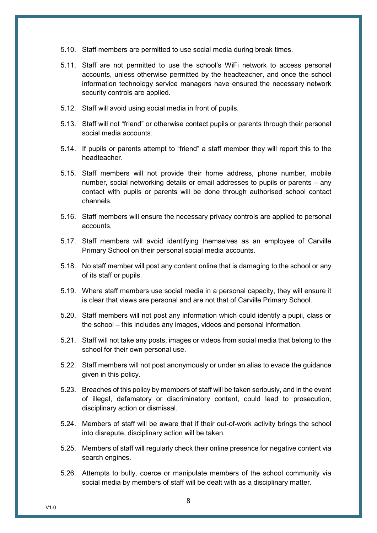- 5.10. Staff members are permitted to use social media during break times.
- 5.11. Staff are not permitted to use the school's WiFi network to access personal accounts, unless otherwise permitted by the headteacher, and once the school information technology service managers have ensured the necessary network security controls are applied.
- 5.12. Staff will avoid using social media in front of pupils.
- 5.13. Staff will not "friend" or otherwise contact pupils or parents through their personal social media accounts.
- 5.14. If pupils or parents attempt to "friend" a staff member they will report this to the headteacher.
- 5.15. Staff members will not provide their home address, phone number, mobile number, social networking details or email addresses to pupils or parents – any contact with pupils or parents will be done through authorised school contact channels.
- 5.16. Staff members will ensure the necessary privacy controls are applied to personal accounts.
- 5.17. Staff members will avoid identifying themselves as an employee of Carville Primary School on their personal social media accounts.
- 5.18. No staff member will post any content online that is damaging to the school or any of its staff or pupils.
- 5.19. Where staff members use social media in a personal capacity, they will ensure it is clear that views are personal and are not that of Carville Primary School.
- 5.20. Staff members will not post any information which could identify a pupil, class or the school – this includes any images, videos and personal information.
- 5.21. Staff will not take any posts, images or videos from social media that belong to the school for their own personal use.
- 5.22. Staff members will not post anonymously or under an alias to evade the guidance given in this policy.
- 5.23. Breaches of this policy by members of staff will be taken seriously, and in the event of illegal, defamatory or discriminatory content, could lead to prosecution, disciplinary action or dismissal.
- 5.24. Members of staff will be aware that if their out-of-work activity brings the school into disrepute, disciplinary action will be taken.
- 5.25. Members of staff will regularly check their online presence for negative content via search engines.
- 5.26. Attempts to bully, coerce or manipulate members of the school community via social media by members of staff will be dealt with as a disciplinary matter.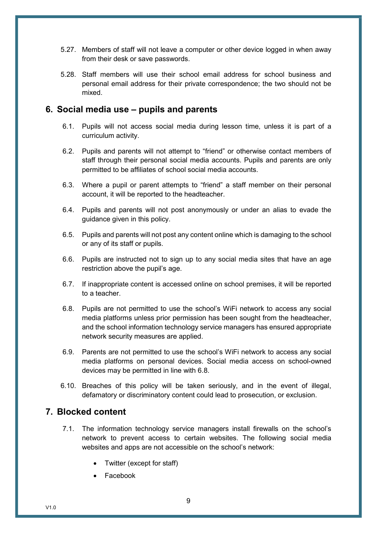- 5.27. Members of staff will not leave a computer or other device logged in when away from their desk or save passwords.
- 5.28. Staff members will use their school email address for school business and personal email address for their private correspondence; the two should not be mixed.

#### 6. Social media use – pupils and parents

- 6.1. Pupils will not access social media during lesson time, unless it is part of a curriculum activity.
- 6.2. Pupils and parents will not attempt to "friend" or otherwise contact members of staff through their personal social media accounts. Pupils and parents are only permitted to be affiliates of school social media accounts.
- 6.3. Where a pupil or parent attempts to "friend" a staff member on their personal account, it will be reported to the headteacher.
- 6.4. Pupils and parents will not post anonymously or under an alias to evade the guidance given in this policy.
- 6.5. Pupils and parents will not post any content online which is damaging to the school or any of its staff or pupils.
- 6.6. Pupils are instructed not to sign up to any social media sites that have an age restriction above the pupil's age.
- 6.7. If inappropriate content is accessed online on school premises, it will be reported to a teacher.
- 6.8. Pupils are not permitted to use the school's WiFi network to access any social media platforms unless prior permission has been sought from the headteacher, and the school information technology service managers has ensured appropriate network security measures are applied.
- 6.9. Parents are not permitted to use the school's WiFi network to access any social media platforms on personal devices. Social media access on school-owned devices may be permitted in line with 6.8.
- 6.10. Breaches of this policy will be taken seriously, and in the event of illegal, defamatory or discriminatory content could lead to prosecution, or exclusion.

#### 7. Blocked content

- 7.1. The information technology service managers install firewalls on the school's network to prevent access to certain websites. The following social media websites and apps are not accessible on the school's network:
	- Twitter (except for staff)
	- Facebook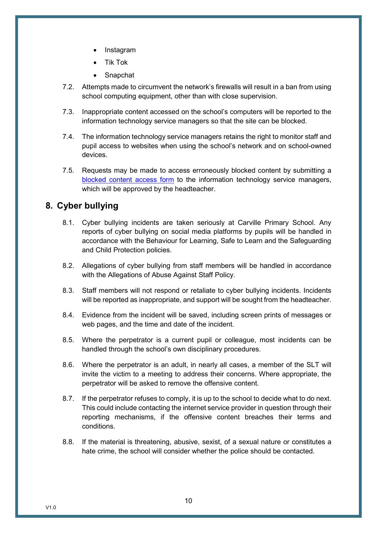- Instagram
- Tik Tok
- Snapchat
- 7.2. Attempts made to circumvent the network's firewalls will result in a ban from using school computing equipment, other than with close supervision.
- 7.3. Inappropriate content accessed on the school's computers will be reported to the information technology service managers so that the site can be blocked.
- 7.4. The information technology service managers retains the right to monitor staff and pupil access to websites when using the school's network and on school-owned devices.
- 7.5. Requests may be made to access erroneously blocked content by submitting a blocked content access form to the information technology service managers, which will be approved by the headteacher.

#### 8. Cyber bullying

- 8.1. Cyber bullying incidents are taken seriously at Carville Primary School. Any reports of cyber bullying on social media platforms by pupils will be handled in accordance with the Behaviour for Learning, Safe to Learn and the Safeguarding and Child Protection policies.
- 8.2. Allegations of cyber bullying from staff members will be handled in accordance with the Allegations of Abuse Against Staff Policy.
- 8.3. Staff members will not respond or retaliate to cyber bullying incidents. Incidents will be reported as inappropriate, and support will be sought from the headteacher.
- 8.4. Evidence from the incident will be saved, including screen prints of messages or web pages, and the time and date of the incident.
- 8.5. Where the perpetrator is a current pupil or colleague, most incidents can be handled through the school's own disciplinary procedures.
- 8.6. Where the perpetrator is an adult, in nearly all cases, a member of the SLT will invite the victim to a meeting to address their concerns. Where appropriate, the perpetrator will be asked to remove the offensive content.
- 8.7. If the perpetrator refuses to comply, it is up to the school to decide what to do next. This could include contacting the internet service provider in question through their reporting mechanisms, if the offensive content breaches their terms and conditions.
- 8.8. If the material is threatening, abusive, sexist, of a sexual nature or constitutes a hate crime, the school will consider whether the police should be contacted.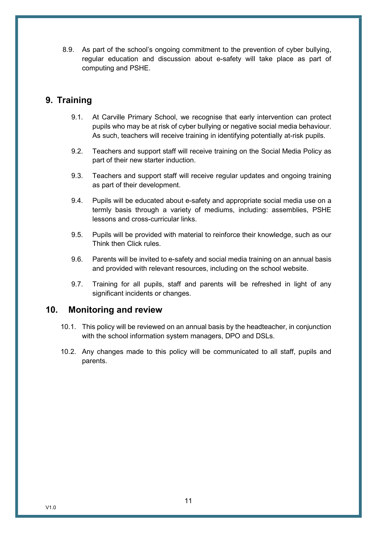8.9. As part of the school's ongoing commitment to the prevention of cyber bullying, regular education and discussion about e-safety will take place as part of computing and PSHE.

#### 9. Training

- 9.1. At Carville Primary School, we recognise that early intervention can protect pupils who may be at risk of cyber bullying or negative social media behaviour. As such, teachers will receive training in identifying potentially at-risk pupils.
- 9.2. Teachers and support staff will receive training on the Social Media Policy as part of their new starter induction.
- 9.3. Teachers and support staff will receive regular updates and ongoing training as part of their development.
- 9.4. Pupils will be educated about e-safety and appropriate social media use on a termly basis through a variety of mediums, including: assemblies, PSHE lessons and cross-curricular links.
- 9.5. Pupils will be provided with material to reinforce their knowledge, such as our Think then Click rules.
- 9.6. Parents will be invited to e-safety and social media training on an annual basis and provided with relevant resources, including on the school website.
- 9.7. Training for all pupils, staff and parents will be refreshed in light of any significant incidents or changes.

#### 10. Monitoring and review

- 10.1. This policy will be reviewed on an annual basis by the headteacher, in conjunction with the school information system managers, DPO and DSLs.
- 10.2. Any changes made to this policy will be communicated to all staff, pupils and parents.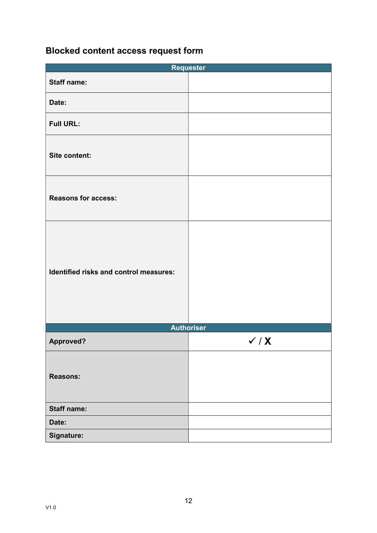### Blocked content access request form

| <b>Requester</b>                       |                             |  |  |  |
|----------------------------------------|-----------------------------|--|--|--|
| <b>Staff name:</b>                     |                             |  |  |  |
| Date:                                  |                             |  |  |  |
| <b>Full URL:</b>                       |                             |  |  |  |
| Site content:                          |                             |  |  |  |
| <b>Reasons for access:</b>             |                             |  |  |  |
| Identified risks and control measures: |                             |  |  |  |
| <b>Authoriser</b>                      |                             |  |  |  |
| Approved?                              | $\checkmark$ / $\checkmark$ |  |  |  |
| <b>Reasons:</b>                        |                             |  |  |  |
| <b>Staff name:</b>                     |                             |  |  |  |
| Date:                                  |                             |  |  |  |
| Signature:                             |                             |  |  |  |